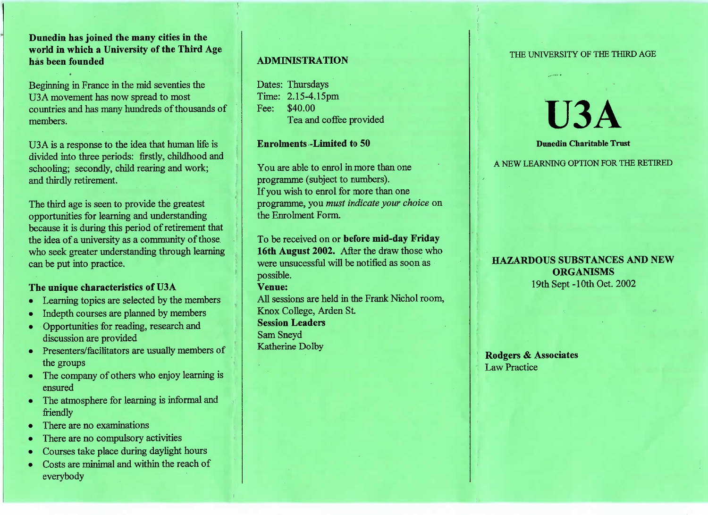**Dunedin has joined the many cities in the world in which a University of the Third Agehas been founded**

Beginning in France in the mid seventies theU3A movement has now spread to most countries and has many hundreds of thousands ofmembers.

USA is a response to the idea that human life is divided into three periods: firstly, childhood andschooling; secondly, child rearing and work;and thirdly retirement.

The third age is seen to provide the greatest opportunities for learning and understanding because it is during this period of retirement thatthe idea of a university as a community of those who seek greater understanding through learningcan be put into practice.

# **The unique characteristics of U3A**

- Learning topics are selected by the members
- Indepth courses are planned by members
- Opportunities for reading, research anddiscussion are provided
- Presenters/facilitators are usually members of the groups
- The company of others who enjoy learning isensured
- The atmosphere for learning is informal andfriendly
- There are no examinations
- There are no compulsory activities
- Courses take place during daylight hours
- Costs are minimal and within the reach ofeverybody

# **ADMINISTRATION**

Dates: Thursdays Time: 2.15-4.15pmFee: \$40.00I'ea and coffee provided

## **Enrolments -Limited to 50**

You are able to enrol in more than oneprogramme (subject to numbers). If you wish to enrol for more than one programme, you *must indicate your choice* onthe Enrolment Form.

To be received on or **before mid-day Friday 16th August 2002.** After the draw those whowere unsucessful will be notified as soon aspossible.

### **Venue:**

 All sessions are held in the Frank Nichol room,Knox College, Arden St.**Session Leaders**Sam SneydKatherine Dolby

#### THE UNIVERSITY OF THE THIRD AGE

# **U3A**

### **Dunedin Charitable Trust**

A NEW LEARNING OPTION FOR THE RETIRED

# **HAZARDOUS SUBSTANCES AND NEWORGANISMS**19th Sept-10th Oct. 2002

**Rodgers & Associates**Law Practice